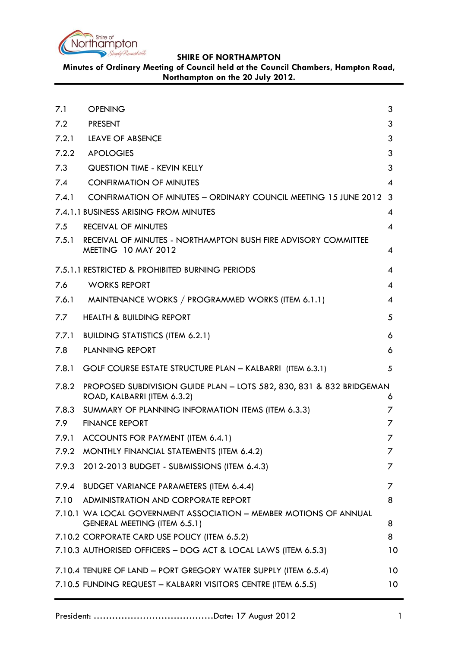

**Minutes of Ordinary Meeting of Council held at the Council Chambers, Hampton Road, Northampton on the 20 July 2012.**

<span id="page-0-0"></span>

| 7.1   | <b>OPENING</b>                                                                                      | 3        |
|-------|-----------------------------------------------------------------------------------------------------|----------|
| 7.2   | <b>PRESENT</b>                                                                                      | 3        |
|       | 7.2.1 LEAVE OF ABSENCE                                                                              | 3        |
| 7.2.2 | <b>APOLOGIES</b>                                                                                    | 3        |
| 7.3   | <b>QUESTION TIME - KEVIN KELLY</b>                                                                  | 3        |
| 7.4   | <b>CONFIRMATION OF MINUTES</b>                                                                      | 4        |
| 7.4.1 | CONFIRMATION OF MINUTES - ORDINARY COUNCIL MEETING 15 JUNE 2012 3                                   |          |
|       | 7.4.1.1 BUSINESS ARISING FROM MINUTES                                                               | 4        |
| 7.5   | RECEIVAL OF MINUTES                                                                                 | 4        |
| 7.5.1 | RECEIVAL OF MINUTES - NORTHAMPTON BUSH FIRE ADVISORY COMMITTEE<br><b>MEETING 10 MAY 2012</b>        | 4        |
|       | 7.5.1.1 RESTRICTED & PROHIBITED BURNING PERIODS                                                     | 4        |
| 7.6   | <b>WORKS REPORT</b>                                                                                 | 4        |
| 7.6.1 | MAINTENANCE WORKS / PROGRAMMED WORKS (ITEM 6.1.1)                                                   | 4        |
| 7.7   | <b>HEALTH &amp; BUILDING REPORT</b>                                                                 | 5        |
| 7.7.1 | <b>BUILDING STATISTICS (ITEM 6.2.1)</b>                                                             | 6        |
| 7.8   | <b>PLANNING REPORT</b>                                                                              | 6        |
| 7.8.1 | GOLF COURSE ESTATE STRUCTURE PLAN - KALBARRI (ITEM 6.3.1)                                           | 5        |
| 7.8.2 | PROPOSED SUBDIVISION GUIDE PLAN - LOTS 582, 830, 831 & 832 BRIDGEMAN<br>ROAD, KALBARRI (ITEM 6.3.2) | 6        |
|       | 7.8.3 SUMMARY OF PLANNING INFORMATION ITEMS (ITEM 6.3.3)                                            | 7        |
| 7.9   | <b>FINANCE REPORT</b>                                                                               | 7        |
| 7.9.1 | ACCOUNTS FOR PAYMENT (ITEM 6.4.1)                                                                   | 7        |
| 7.9.2 | MONTHLY FINANCIAL STATEMENTS (ITEM 6.4.2)                                                           | 7        |
| 7.9.3 | 2012-2013 BUDGET - SUBMISSIONS (ITEM 6.4.3)                                                         | Ζ        |
| 7.9.4 | <b>BUDGET VARIANCE PARAMETERS (ITEM 6.4.4)</b>                                                      | $\prime$ |
| 7.10  | ADMINISTRATION AND CORPORATE REPORT                                                                 | 8        |
|       | 7.10.1 WA LOCAL GOVERNMENT ASSOCIATION - MEMBER MOTIONS OF ANNUAL<br>GENERAL MEETING (ITEM 6.5.1)   | 8        |
|       | 7.10.2 CORPORATE CARD USE POLICY (ITEM 6.5.2)                                                       | 8        |
|       | 7.10.3 AUTHORISED OFFICERS - DOG ACT & LOCAL LAWS (ITEM 6.5.3)                                      | 10       |
|       | 7.10.4 TENURE OF LAND - PORT GREGORY WATER SUPPLY (ITEM 6.5.4)                                      | 10       |
|       | 7.10.5 FUNDING REQUEST - KALBARRI VISITORS CENTRE (ITEM 6.5.5)                                      | 10       |
|       |                                                                                                     |          |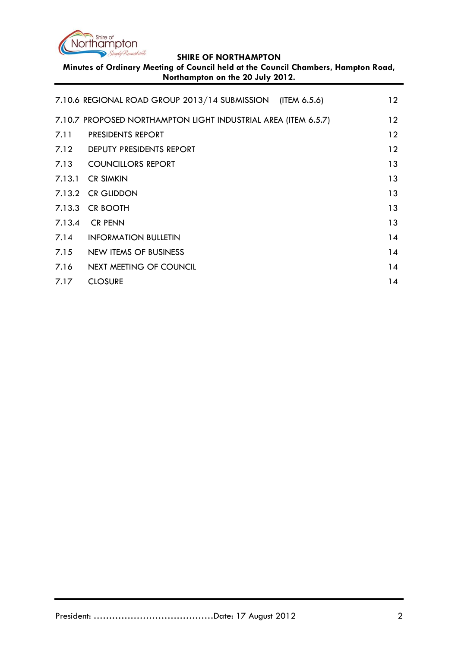

**Minutes of Ordinary Meeting of Council held at the Council Chambers, Hampton Road, Northampton on the 20 July 2012.**

|                             | 12                                                                                                                                                                                                                                                                            |
|-----------------------------|-------------------------------------------------------------------------------------------------------------------------------------------------------------------------------------------------------------------------------------------------------------------------------|
|                             | 12                                                                                                                                                                                                                                                                            |
| <b>PRESIDENTS REPORT</b>    | 12                                                                                                                                                                                                                                                                            |
|                             | 12                                                                                                                                                                                                                                                                            |
|                             | 13                                                                                                                                                                                                                                                                            |
|                             | 13                                                                                                                                                                                                                                                                            |
|                             | 13                                                                                                                                                                                                                                                                            |
| <b>CR BOOTH</b>             | 13                                                                                                                                                                                                                                                                            |
| <b>CR PENN</b>              | 13                                                                                                                                                                                                                                                                            |
| <b>INFORMATION BULLETIN</b> | 14                                                                                                                                                                                                                                                                            |
| NEW ITEMS OF BUSINESS       | 14                                                                                                                                                                                                                                                                            |
| NEXT MEETING OF COUNCIL     | 14                                                                                                                                                                                                                                                                            |
| <b>CLOSURE</b>              | 14                                                                                                                                                                                                                                                                            |
|                             | 7.10.6 REGIONAL ROAD GROUP 2013/14 SUBMISSION (ITEM 6.5.6)<br>7.10.7 PROPOSED NORTHAMPTON LIGHT INDUSTRIAL AREA (ITEM 6.5.7)<br>7.12 DEPUTY PRESIDENTS REPORT<br>7.13 COUNCILLORS REPORT<br>7.13.1 CR SIMKIN<br>7.13.2 CR GLIDDON<br>7.13.3<br>7.13.4<br>7.14<br>7.15<br>7.16 |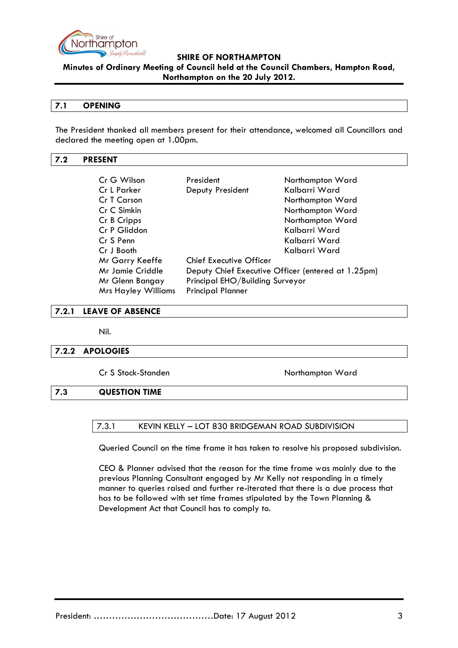

**Minutes of Ordinary Meeting of Council held at the Council Chambers, Hampton Road, Northampton on the 20 July 2012.**

## **7.1 OPENING**

The President thanked all members present for their attendance, welcomed all Councillors and declared the meeting open at 1.00pm.

## <span id="page-2-0"></span>**7.2 PRESENT**

| Cr G Wilson                | President                                          | Northampton Ward |  |
|----------------------------|----------------------------------------------------|------------------|--|
| Cr L Parker                | Deputy President                                   | Kalbarri Ward    |  |
| Cr T Carson                |                                                    | Northampton Ward |  |
| Cr C Simkin                |                                                    | Northampton Ward |  |
| Cr B Cripps                |                                                    | Northampton Ward |  |
| Cr P Gliddon               |                                                    | Kalbarri Ward    |  |
| Cr S Penn                  |                                                    | Kalbarri Ward    |  |
| Cr J Booth                 |                                                    | Kalbarri Ward    |  |
| Mr Garry Keeffe            | <b>Chief Executive Officer</b>                     |                  |  |
| <b>Mr Jamie Criddle</b>    | Deputy Chief Executive Officer (entered at 1.25pm) |                  |  |
| Mr Glenn Bangay            | Principal EHO/Building Surveyor                    |                  |  |
| <b>Mrs Hayley Williams</b> | <b>Principal Planner</b>                           |                  |  |

## <span id="page-2-1"></span>**7.2.1 LEAVE OF ABSENCE**

Nil.

## <span id="page-2-2"></span>**7.2.2 APOLOGIES**

Cr S Stock-Standen Northampton Ward

## <span id="page-2-3"></span>**7.3 QUESTION TIME**

## 7.3.1 KEVIN KELLY – LOT 830 BRIDGEMAN ROAD SUBDIVISION

Queried Council on the time frame it has taken to resolve his proposed subdivision.

CEO & Planner advised that the reason for the time frame was mainly due to the previous Planning Consultant engaged by Mr Kelly not responding in a timely manner to queries raised and further re-iterated that there is a due process that has to be followed with set time frames stipulated by the Town Planning & Development Act that Council has to comply to.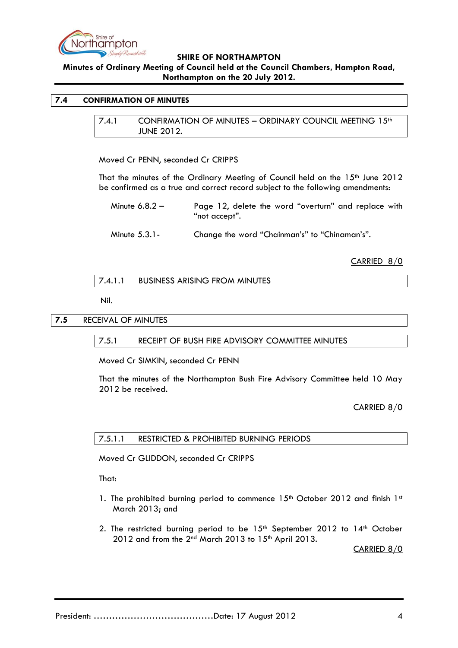

**Minutes of Ordinary Meeting of Council held at the Council Chambers, Hampton Road, Northampton on the 20 July 2012.**

## <span id="page-3-1"></span><span id="page-3-0"></span>**7.4 CONFIRMATION OF MINUTES**

7.4.1 CONFIRMATION OF MINUTES - ORDINARY COUNCIL MEETING 15<sup>th</sup> JUNE 2012.

Moved Cr PENN, seconded Cr CRIPPS

That the minutes of the Ordinary Meeting of Council held on the 15<sup>th</sup> June 2012 be confirmed as a true and correct record subject to the following amendments:

Minute 6.8.2 – Page 12, delete the word "overturn" and replace with "not accept".

Minute 5.3.1- Change the word "Chainman's" to "Chinaman's".

## CARRIED 8/0

7.4.1.1 BUSINESS ARISING FROM MINUTES

Nil.

## **7.5** RECEIVAL OF MINUTES

## 7.5.1 RECEIPT OF BUSH FIRE ADVISORY COMMITTEE MINUTES

Moved Cr SIMKIN, seconded Cr PENN

That the minutes of the Northampton Bush Fire Advisory Committee held 10 May 2012 be received.

## CARRIED 8/0

## 7.5.1.1 RESTRICTED & PROHIBITED BURNING PERIODS

Moved Cr GLIDDON, seconded Cr CRIPPS

That:

- 1. The prohibited burning period to commence  $15<sup>th</sup>$  October 2012 and finish  $1<sup>st</sup>$ March 2013; and
- 2. The restricted burning period to be  $15<sup>th</sup>$  September 2012 to  $14<sup>th</sup>$  October  $2012$  and from the  $2<sup>nd</sup>$  March 2013 to  $15<sup>th</sup>$  April 2013.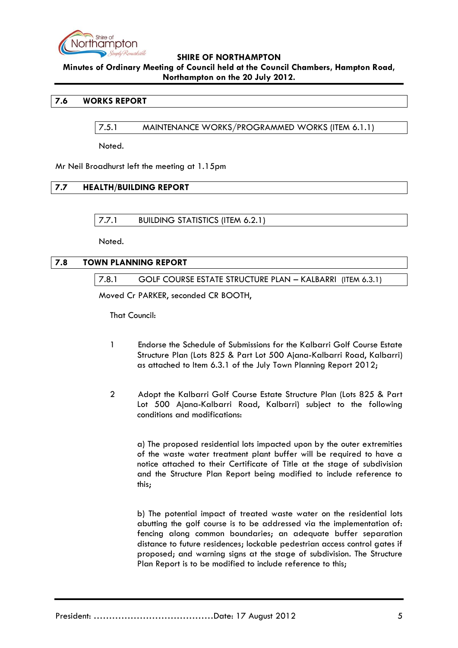

**Minutes of Ordinary Meeting of Council held at the Council Chambers, Hampton Road, Northampton on the 20 July 2012.**

## **7.6 WORKS REPORT**

7.5.1 MAINTENANCE WORKS/PROGRAMMED WORKS (ITEM 6.1.1)

Noted.

Mr Neil Broadhurst left the meeting at 1.15pm

## **7.7 HEALTH/BUILDING REPORT**

7.7.1 BUILDING STATISTICS (ITEM 6.2.1)

Noted.

## **7.8 TOWN PLANNING REPORT**

7.8.1 GOLF COURSE ESTATE STRUCTURE PLAN – KALBARRI (ITEM 6.3.1)

Moved Cr PARKER, seconded CR BOOTH,

That Council:

- 1 Endorse the Schedule of Submissions for the Kalbarri Golf Course Estate Structure Plan (Lots 825 & Part Lot 500 Ajana-Kalbarri Road, Kalbarri) as attached to Item 6.3.1 of the July Town Planning Report 2012;
- 2 Adopt the Kalbarri Golf Course Estate Structure Plan (Lots 825 & Part Lot 500 Ajana-Kalbarri Road, Kalbarri) subject to the following conditions and modifications:

a) The proposed residential lots impacted upon by the outer extremities of the waste water treatment plant buffer will be required to have a notice attached to their Certificate of Title at the stage of subdivision and the Structure Plan Report being modified to include reference to this;

b) The potential impact of treated waste water on the residential lots abutting the golf course is to be addressed via the implementation of: fencing along common boundaries; an adequate buffer separation distance to future residences; lockable pedestrian access control gates if proposed; and warning signs at the stage of subdivision. The Structure Plan Report is to be modified to include reference to this;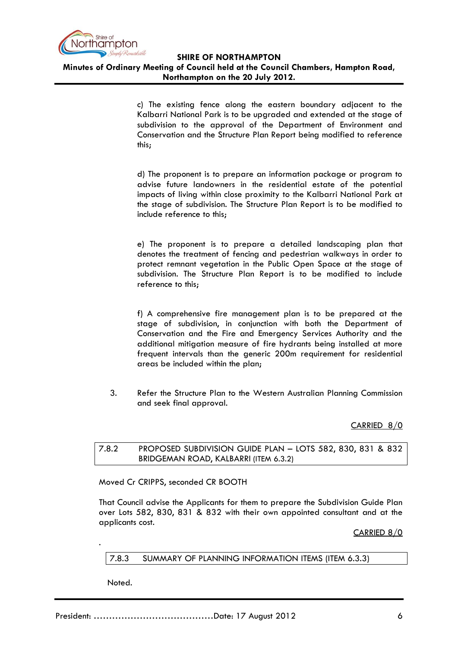

**SHIRE OF NORTHAMPTON Minutes of Ordinary Meeting of Council held at the Council Chambers, Hampton Road, Northampton on the 20 July 2012.**

> c) The existing fence along the eastern boundary adjacent to the Kalbarri National Park is to be upgraded and extended at the stage of subdivision to the approval of the Department of Environment and Conservation and the Structure Plan Report being modified to reference this;

> d) The proponent is to prepare an information package or program to advise future landowners in the residential estate of the potential impacts of living within close proximity to the Kalbarri National Park at the stage of subdivision. The Structure Plan Report is to be modified to include reference to this;

> e) The proponent is to prepare a detailed landscaping plan that denotes the treatment of fencing and pedestrian walkways in order to protect remnant vegetation in the Public Open Space at the stage of subdivision. The Structure Plan Report is to be modified to include reference to this;

> f) A comprehensive fire management plan is to be prepared at the stage of subdivision, in conjunction with both the Department of Conservation and the Fire and Emergency Services Authority and the additional mitigation measure of fire hydrants being installed at more frequent intervals than the generic 200m requirement for residential areas be included within the plan;

3. Refer the Structure Plan to the Western Australian Planning Commission and seek final approval.

CARRIED 8/0

## 7.8.2 PROPOSED SUBDIVISION GUIDE PLAN – LOTS 582, 830, 831 & 832 BRIDGEMAN ROAD, KALBARRI (ITEM 6.3.2)

Moved Cr CRIPPS, seconded CR BOOTH

That Council advise the Applicants for them to prepare the Subdivision Guide Plan over Lots 582, 830, 831 & 832 with their own appointed consultant and at the applicants cost.

CARRIED 8/0

## 7.8.3 SUMMARY OF PLANNING INFORMATION ITEMS (ITEM 6.3.3)

Noted.

.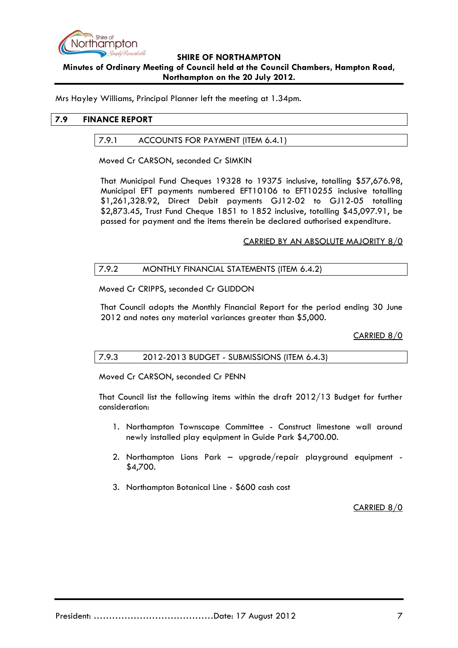

## **SHIRE OF NORTHAMPTON Minutes of Ordinary Meeting of Council held at the Council Chambers, Hampton Road, Northampton on the 20 July 2012.**

Mrs Hayley Williams, Principal Planner left the meeting at 1.34pm.

## **7.9 FINANCE REPORT**

## 7.9.1 ACCOUNTS FOR PAYMENT (ITEM 6.4.1)

Moved Cr CARSON, seconded Cr SIMKIN

That Municipal Fund Cheques 19328 to 19375 inclusive, totalling \$57,676.98, Municipal EFT payments numbered EFT10106 to EFT10255 inclusive totalling \$1,261,328.92, Direct Debit payments GJ12-02 to GJ12-05 totalling \$2,873.45, Trust Fund Cheque 1851 to 1852 inclusive, totalling \$45,097.91, be passed for payment and the items therein be declared authorised expenditure.

## CARRIED BY AN ABSOLUTE MAJORITY 8/0

## 7.9.2 MONTHLY FINANCIAL STATEMENTS (ITEM 6.4.2)

Moved Cr CRIPPS, seconded Cr GLIDDON

That Council adopts the Monthly Financial Report for the period ending 30 June 2012 and notes any material variances greater than \$5,000.

CARRIED 8/0

## 7.9.3 2012-2013 BUDGET - SUBMISSIONS (ITEM 6.4.3)

Moved Cr CARSON, seconded Cr PENN

That Council list the following items within the draft 2012/13 Budget for further consideration:

- 1. Northampton Townscape Committee Construct limestone wall around newly installed play equipment in Guide Park \$4,700.00.
- 2. Northampton Lions Park upgrade/repair playground equipment \$4,700.
- 3. Northampton Botanical Line \$600 cash cost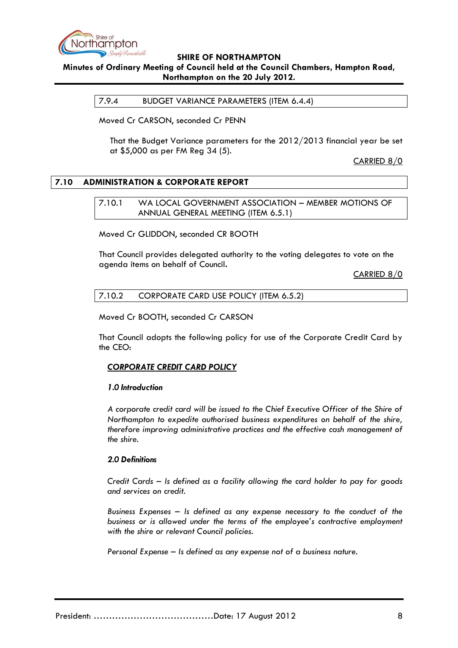

## **Minutes of Ordinary Meeting of Council held at the Council Chambers, Hampton Road, Northampton on the 20 July 2012.**

## 7.9.4 BUDGET VARIANCE PARAMETERS (ITEM 6.4.4)

Moved Cr CARSON, seconded Cr PENN

That the Budget Variance parameters for the 2012/2013 financial year be set at \$5,000 as per FM Reg 34 (5).

CARRIED 8/0

## **7.10 ADMINISTRATION & CORPORATE REPORT**

7.10.1 WA LOCAL GOVERNMENT ASSOCIATION – MEMBER MOTIONS OF ANNUAL GENERAL MEETING (ITEM 6.5.1)

Moved Cr GLIDDON, seconded CR BOOTH

That Council provides delegated authority to the voting delegates to vote on the agenda items on behalf of Council**.**

CARRIED 8/0

## 7.10.2 CORPORATE CARD USE POLICY (ITEM 6.5.2)

Moved Cr BOOTH, seconded Cr CARSON

That Council adopts the following policy for use of the Corporate Credit Card by the CEO:

## *CORPORATE CREDIT CARD POLICY*

## *1.0 Introduction*

*A corporate credit card will be issued to the Chief Executive Officer of the Shire of Northampton to expedite authorised business expenditures on behalf of the shire, therefore improving administrative practices and the effective cash management of the shire.*

## *2.0 Definitions*

*Credit Cards – Is defined as a facility allowing the card holder to pay for goods and services on credit.*

*Business Expenses – Is defined as any expense necessary to the conduct of the business or is allowed under the terms of the employee's contractive employment with the shire or relevant Council policies.*

*Personal Expense – Is defined as any expense not of a business nature.*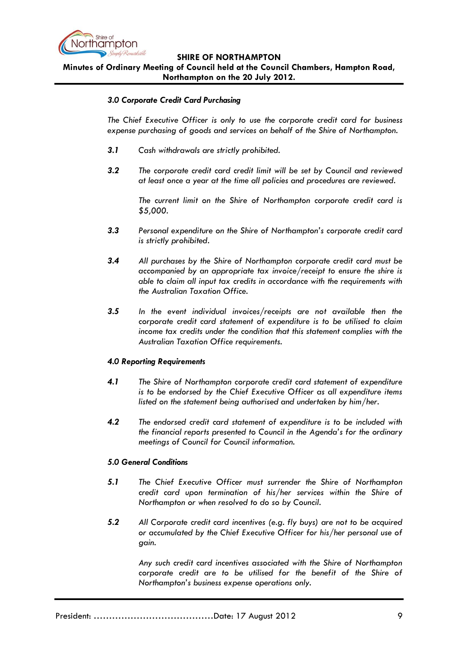

**Minutes of Ordinary Meeting of Council held at the Council Chambers, Hampton Road, Northampton on the 20 July 2012.**

## *3.0 Corporate Credit Card Purchasing*

*The Chief Executive Officer is only to use the corporate credit card for business expense purchasing of goods and services on behalf of the Shire of Northampton.* 

- *3.1 Cash withdrawals are strictly prohibited.*
- *3.2 The corporate credit card credit limit will be set by Council and reviewed at least once a year at the time all policies and procedures are reviewed.*

*The current limit on the Shire of Northampton corporate credit card is \$5,000.*

- *3.3 Personal expenditure on the Shire of Northampton's corporate credit card is strictly prohibited.*
- *3.4 All purchases by the Shire of Northampton corporate credit card must be accompanied by an appropriate tax invoice/receipt to ensure the shire is able to claim all input tax credits in accordance with the requirements with the Australian Taxation Office.*
- *3.5 In the event individual invoices/receipts are not available then the corporate credit card statement of expenditure is to be utilised to claim income tax credits under the condition that this statement complies with the Australian Taxation Office requirements.*

## *4.0 Reporting Requirements*

- *4.1 The Shire of Northampton corporate credit card statement of expenditure is to be endorsed by the Chief Executive Officer as all expenditure items listed on the statement being authorised and undertaken by him/her.*
- *4.2 The endorsed credit card statement of expenditure is to be included with the financial reports presented to Council in the Agenda's for the ordinary meetings of Council for Council information.*

## *5.0 General Conditions*

- *5.1 The Chief Executive Officer must surrender the Shire of Northampton credit card upon termination of his/her services within the Shire of Northampton or when resolved to do so by Council.*
- *5.2 All Corporate credit card incentives (e.g. fly buys) are not to be acquired or accumulated by the Chief Executive Officer for his/her personal use of gain.*

*Any such credit card incentives associated with the Shire of Northampton corporate credit are to be utilised for the benefit of the Shire of Northampton's business expense operations only.*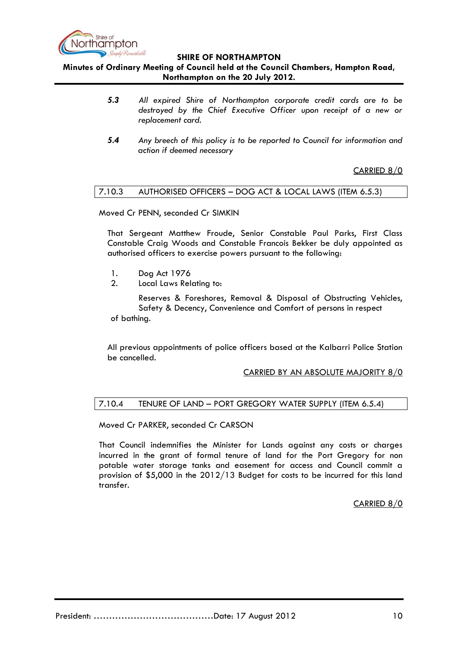

**Minutes of Ordinary Meeting of Council held at the Council Chambers, Hampton Road, Northampton on the 20 July 2012.**

- *5.3 All expired Shire of Northampton corporate credit cards are to be destroyed by the Chief Executive Officer upon receipt of a new or replacement card.*
- *5.4 Any breech of this policy is to be reported to Council for information and action if deemed necessary*

## CARRIED 8/0

## 7.10.3 AUTHORISED OFFICERS – DOG ACT & LOCAL LAWS (ITEM 6.5.3)

Moved Cr PENN, seconded Cr SIMKIN

That Sergeant Matthew Froude, Senior Constable Paul Parks, First Class Constable Craig Woods and Constable Francois Bekker be duly appointed as authorised officers to exercise powers pursuant to the following:

- 1. Dog Act 1976
- 2. Local Laws Relating to:

Reserves & Foreshores, Removal & Disposal of Obstructing Vehicles, Safety & Decency, Convenience and Comfort of persons in respect of bathing.

All previous appointments of police officers based at the Kalbarri Police Station be cancelled.

## CARRIED BY AN ABSOLUTE MAJORITY 8/0

## 7.10.4 TENURE OF LAND – PORT GREGORY WATER SUPPLY (ITEM 6.5.4)

Moved Cr PARKER, seconded Cr CARSON

That Council indemnifies the Minister for Lands against any costs or charges incurred in the grant of formal tenure of land for the Port Gregory for non potable water storage tanks and easement for access and Council commit a provision of \$5,000 in the 2012/13 Budget for costs to be incurred for this land transfer.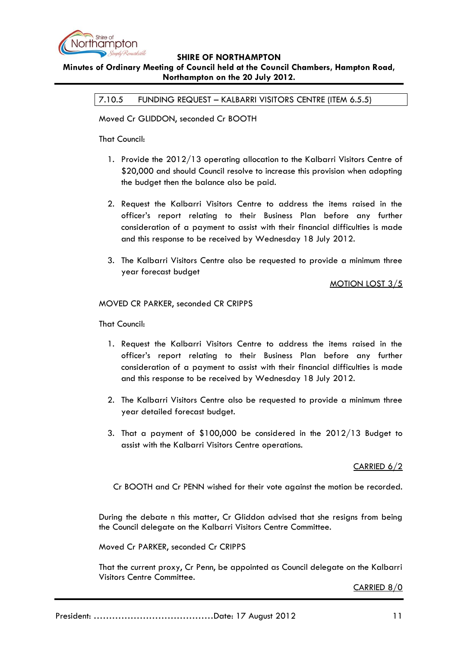

## **Minutes of Ordinary Meeting of Council held at the Council Chambers, Hampton Road, Northampton on the 20 July 2012.**

7.10.5 FUNDING REQUEST – KALBARRI VISITORS CENTRE (ITEM 6.5.5)

Moved Cr GLIDDON, seconded Cr BOOTH

That Council:

- 1. Provide the 2012/13 operating allocation to the Kalbarri Visitors Centre of \$20,000 and should Council resolve to increase this provision when adopting the budget then the balance also be paid.
- 2. Request the Kalbarri Visitors Centre to address the items raised in the officer's report relating to their Business Plan before any further consideration of a payment to assist with their financial difficulties is made and this response to be received by Wednesday 18 July 2012.
- 3. The Kalbarri Visitors Centre also be requested to provide a minimum three year forecast budget

## MOTION LOST 3/5

MOVED CR PARKER, seconded CR CRIPPS

That Council:

- 1. Request the Kalbarri Visitors Centre to address the items raised in the officer's report relating to their Business Plan before any further consideration of a payment to assist with their financial difficulties is made and this response to be received by Wednesday 18 July 2012.
- 2. The Kalbarri Visitors Centre also be requested to provide a minimum three year detailed forecast budget.
- 3. That a payment of \$100,000 be considered in the 2012/13 Budget to assist with the Kalbarri Visitors Centre operations.

## CARRIED 6/2

Cr BOOTH and Cr PENN wished for their vote against the motion be recorded.

During the debate n this matter, Cr Gliddon advised that she resigns from being the Council delegate on the Kalbarri Visitors Centre Committee.

Moved Cr PARKER, seconded Cr CRIPPS

That the current proxy, Cr Penn, be appointed as Council delegate on the Kalbarri Visitors Centre Committee.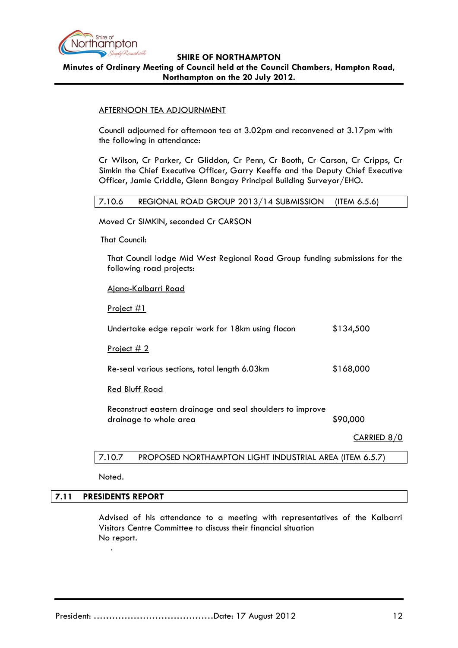

**Minutes of Ordinary Meeting of Council held at the Council Chambers, Hampton Road, Northampton on the 20 July 2012.**

#### AFTERNOON TEA ADJOURNMENT

Council adjourned for afternoon tea at 3.02pm and reconvened at 3.17pm with the following in attendance:

Cr Wilson, Cr Parker, Cr Gliddon, Cr Penn, Cr Booth, Cr Carson, Cr Cripps, Cr Simkin the Chief Executive Officer, Garry Keeffe and the Deputy Chief Executive Officer, Jamie Criddle, Glenn Bangay Principal Building Surveyor/EHO.

## 7.10.6 REGIONAL ROAD GROUP 2013/14 SUBMISSION (ITEM 6.5.6)

Moved Cr SIMKIN, seconded Cr CARSON

That Council:

That Council lodge Mid West Regional Road Group funding submissions for the following road projects:

## Ajana-Kalbarri Road

Project #1

| Undertake edge repair work for 18km using flocon           | \$134,500 |
|------------------------------------------------------------|-----------|
| <u>Project <math>#2</math></u>                             |           |
| Re-seal various sections, total length 6.03km              | \$168,000 |
| <b>Red Bluff Road</b>                                      |           |
| Reconstruct eastern drainage and seal shoulders to improve |           |

drainage to whole area  $$90,000$ 

CARRIED 8/0

## 7.10.7 PROPOSED NORTHAMPTON LIGHT INDUSTRIAL AREA (ITEM 6.5.7)

Noted.

## **7.11 PRESIDENTS REPORT**

.

Advised of his attendance to a meeting with representatives of the Kalbarri Visitors Centre Committee to discuss their financial situation No report.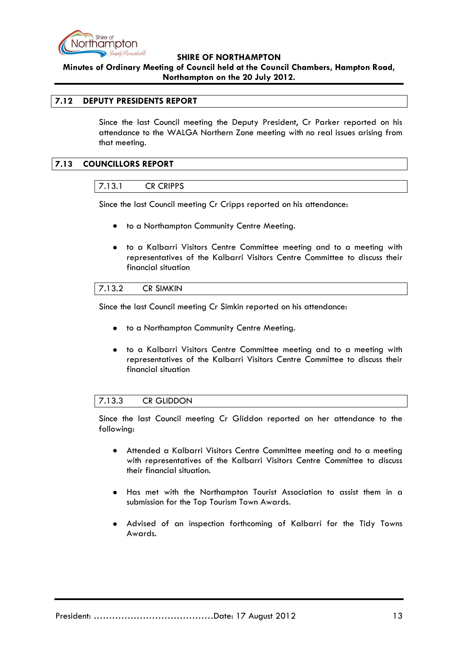

**Minutes of Ordinary Meeting of Council held at the Council Chambers, Hampton Road, Northampton on the 20 July 2012.**

## **7.12 DEPUTY PRESIDENTS REPORT**

Since the last Council meeting the Deputy President, Cr Parker reported on his attendance to the WALGA Northern Zone meeting with no real issues arising from that meeting.

## **7.13 COUNCILLORS REPORT**

#### 7.13.1 CR CRIPPS

Since the last Council meeting Cr Cripps reported on his attendance:

- to a Northampton Community Centre Meeting.  $\bullet$
- to a Kalbarri Visitors Centre Committee meeting and to a meeting with  $\bullet$ representatives of the Kalbarri Visitors Centre Committee to discuss their financial situation

| 7.100<br>' <<br>7.IV.Z | <b>CR SIMKIN</b> |  |
|------------------------|------------------|--|
|                        |                  |  |

Since the last Council meeting Cr Simkin reported on his attendance:

- to a Northampton Community Centre Meeting.
- to a Kalbarri Visitors Centre Committee meeting and to a meeting with  $\bullet$ representatives of the Kalbarri Visitors Centre Committee to discuss their financial situation

## 7.13.3 CR GLIDDON

Since the last Council meeting Cr Gliddon reported on her attendance to the following:

- Attended a Kalbarri Visitors Centre Committee meeting and to a meeting  $\bullet$ with representatives of the Kalbarri Visitors Centre Committee to discuss their financial situation.
- Has met with the Northampton Tourist Association to assist them in a submission for the Top Tourism Town Awards.
- Advised of an inspection forthcoming of Kalbarri for the Tidy Towns Awards.